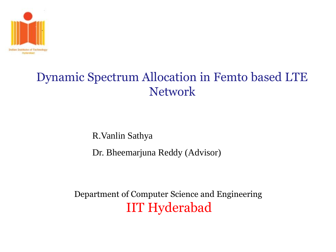

### Dynamic Spectrum Allocation in Femto based LTE Network

R.Vanlin Sathya

Dr. Bheemarjuna Reddy (Advisor)

Department of Computer Science and Engineering IIT Hyderabad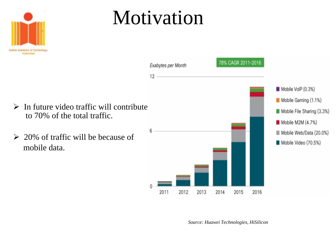

to 70% of the total traffic.

mobile data.

## Motivation



*Source: Huawei Technologies, HiSilicon*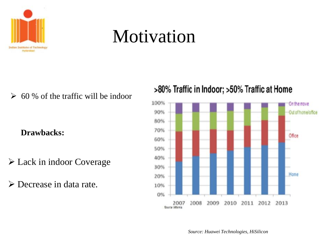

## Motivation

 $\geq 60$  % of the traffic will be indoor

#### **Drawbacks::**

- Lack in indoor Coverage
- Decrease in data rate.

#### >80% Traffic in Indoor; >50% Traffic at Home



*Source: Huawei Technologies, HiSilicon*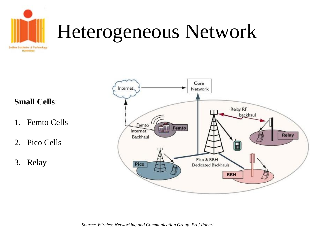

## Heterogeneous Network

**Small Cells**:

- 1. Femto Cells
- 2. Pico Cells
- 3. Relay

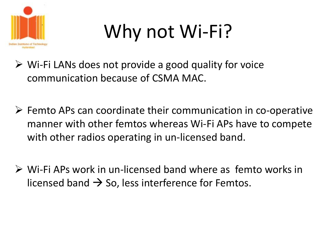

# Why not Wi-Fi?

- $\triangleright$  Wi-Fi LANs does not provide a good quality for voice communication because of CSMA MAC.
- $\triangleright$  Femto APs can coordinate their communication in co-operative manner with other femtos whereas Wi-Fi APs have to compete with other radios operating in un-licensed band.
- Wi-Fi APs work in un-licensed band where as femto works in licensed band  $\rightarrow$  So, less interference for Femtos.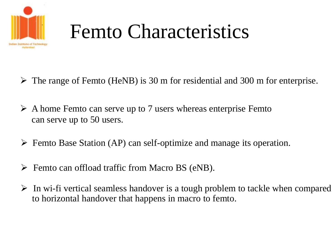

# Femto Characteristics

- $\triangleright$  The range of Femto (HeNB) is 30 m for residential and 300 m for enterprise.
- $\triangleright$  A home Femto can serve up to 7 users whereas enterprise Femto can serve up to 50 users.
- $\triangleright$  Femto Base Station (AP) can self-optimize and manage its operation.
- Femto can offload traffic from Macro BS (eNB).
- $\triangleright$  In wi-fi vertical seamless handover is a tough problem to tackle when compared to horizontal handover that happens in macro to femto.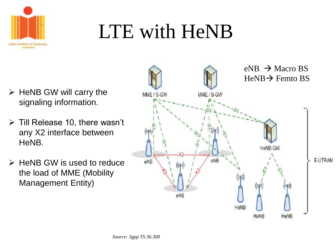

# LTE with HeNB

- $\triangleright$  HeNB GW will carry the signaling information.
- $\triangleright$  Till Release 10, there wasn't any X2 interface between HeNB.
- $\triangleright$  HeNB GW is used to reduce the load of MME (Mobility Management Entity)

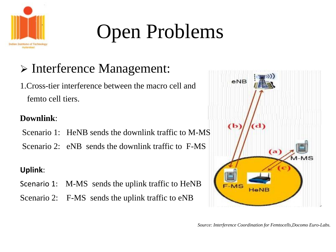

# Open Problems

### > Interference Management:

1.Cross-tier interference between the macro cell and femto cell tiers.

#### **Downlink**:

Scenario 1: HeNB sends the downlink traffic to M-MS

Scenario 2: eNB sends the downlink traffic to F-MS

#### **Uplink**:

- Scenario 1: M-MS sends the uplink traffic to HeNB
- Scenario 2: F-MS sends the uplink traffic to eNB



*Source: Interference Coordination for Femtocells,Docomo Euro-Labs.*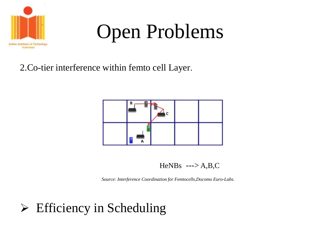

## Open Problems

#### 2.Co-tier interference within femto cell Layer.



HeNBs  $\leftarrow > A$ ,B,C

*Source: Interference Coordination for Femtocells,Docomo Euro-Labs.*

### $\triangleright$  Efficiency in Scheduling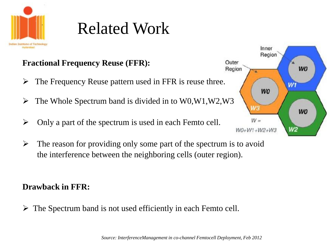

## Related Work

#### **Fractional Frequency Reuse (FFR):**

- $\triangleright$  The Frequency Reuse pattern used in FFR is reuse three.
- $\triangleright$  The Whole Spectrum band is divided in to W0, W1, W2, W3
- $\triangleright$  Only a part of the spectrum is used in each Femto cell.
- $\triangleright$  The reason for providing only some part of the spectrum is to avoid the interference between the neighboring cells (outer region).

#### **Drawback in FFR:**

 $\triangleright$  The Spectrum band is not used efficiently in each Femto cell.

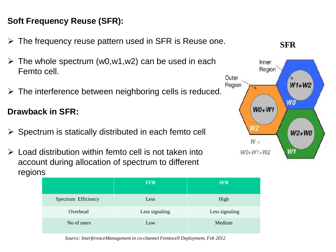#### **Soft Frequency Reuse (SFR):**

- $\triangleright$  The frequency reuse pattern used in SFR is Reuse one.
- The whole spectrum (w0,w1,w2) can be used in each Femto cell.
- $\triangleright$  The interference between neighboring cells is reduced.

#### **Drawback in SFR:**

- $\triangleright$  Spectrum is statically distributed in each femto cell
- $\triangleright$  Load distribution within femto cell is not taken into account during allocation of spectrum to different regions



*Source: InterferenceManagement in co-channel Femtocell Deployment, Feb 2012*



**SFR**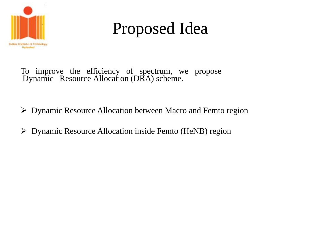

## Proposed Idea

- To improve the efficiency of spectrum, we propose Dynamic Resource Allocation (DRA) scheme.
- Dynamic Resource Allocation between Macro and Femto region
- Dynamic Resource Allocation inside Femto (HeNB) region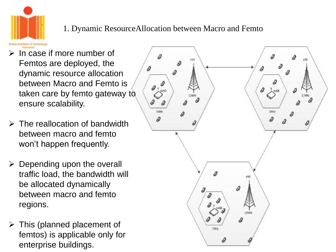

#### 1. Dynamic ResourceAllocation between Macro and Femto

- $\triangleright$  In case if more number of Femtos are deployed, the dynamic resource allocation between Macro and Femto is taken care by femto gateway to ensure scalability.
- $\triangleright$  The reallocation of bandwidth between macro and femto won't happen frequently.
- $\triangleright$  Depending upon the overall traffic load, the bandwidth will be allocated dynamically between macro and femto regions.
- $\triangleright$  This (planned placement of femtos) is applicable only for enterprise buildings.

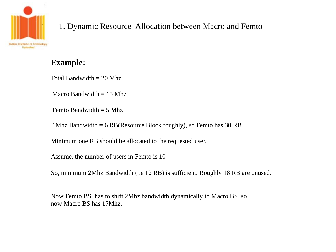

#### 1. Dynamic Resource Allocation between Macro and Femto

#### **Example:**

Total Bandwidth  $= 20$  Mhz

Macro Bandwidth  $= 15$  Mhz

Femto Bandwidth  $= 5$  Mhz

1Mhz Bandwidth = 6 RB(Resource Block roughly), so Femto has 30 RB.

Minimum one RB should be allocated to the requested user.

Assume, the number of users in Femto is 10

So, minimum 2Mhz Bandwidth (i.e 12 RB) is sufficient. Roughly 18 RB are unused.

Now Femto BS has to shift 2Mhz bandwidth dynamically to Macro BS, so now Macro BS has 17Mhz.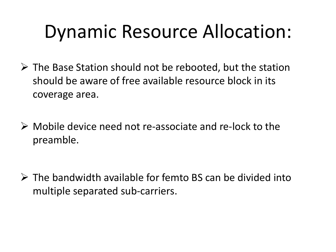## Dynamic Resource Allocation:

- $\triangleright$  The Base Station should not be rebooted, but the station should be aware of free available resource block in its coverage area.
- $\triangleright$  Mobile device need not re-associate and re-lock to the preamble.

 $\triangleright$  The bandwidth available for femto BS can be divided into multiple separated sub-carriers.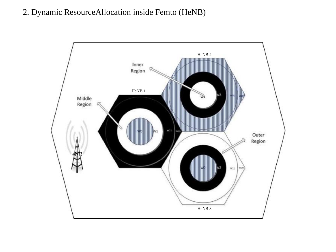#### 2. Dynamic ResourceAllocation inside Femto (HeNB)

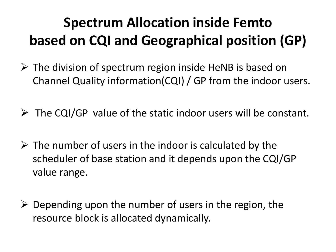### **Spectrum Allocation inside Femto based on CQI and Geographical position (GP)**

- $\triangleright$  The division of spectrum region inside HeNB is based on Channel Quality information(CQI) / GP from the indoor users.
- $\triangleright$  The CQI/GP value of the static indoor users will be constant.
- $\triangleright$  The number of users in the indoor is calculated by the scheduler of base station and it depends upon the CQI/GP value range.
- $\triangleright$  Depending upon the number of users in the region, the resource block is allocated dynamically.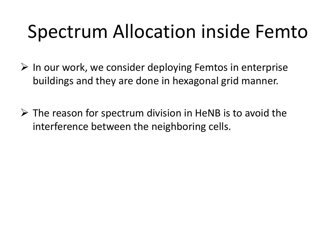## Spectrum Allocation inside Femto

- $\triangleright$  In our work, we consider deploying Femtos in enterprise buildings and they are done in hexagonal grid manner.
- $\triangleright$  The reason for spectrum division in HeNB is to avoid the interference between the neighboring cells.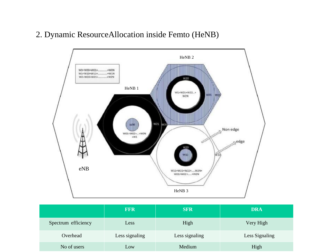#### 2. Dynamic ResourceAllocation inside Femto (HeNB)



|                     | <b>FFR</b>     | <b>SFR</b>     | <b>DRA</b>     |
|---------------------|----------------|----------------|----------------|
| Spectrum efficiency | Less           | High           | Very High      |
| Overhead            | Less signaling | Less signaling | Less Signaling |
| No of users         | Low            | Medium         | High           |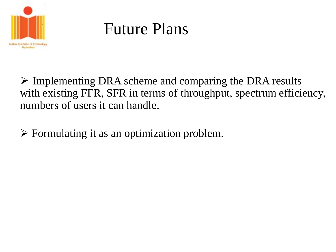

## Future Plans

 $\triangleright$  Implementing DRA scheme and comparing the DRA results with existing FFR, SFR in terms of throughput, spectrum efficiency, numbers of users it can handle.

 $\triangleright$  Formulating it as an optimization problem.